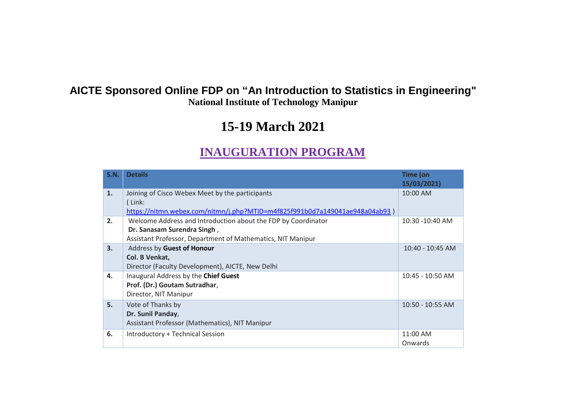## **AICTE Sponsored Online FDP on "An Introduction to Statistics in Engineering" National Institute of Technology Manipur**

# **15-19 March 2021**

## **INAUGURATION PROGRAM**

| S.N. | <b>Details</b>                                                                                                                                              | Time (on<br>15/03/2021) |
|------|-------------------------------------------------------------------------------------------------------------------------------------------------------------|-------------------------|
| 1.   | Joining of Cisco Webex Meet by the participants<br>(Link:<br>https://nitmn.webex.com/nitmn/j.php?MTID=m4f825f991b0d7a149041ae948a04ab93)                    | 10:00 AM                |
| 2.   | Welcome Address and Introduction about the FDP by Coordinator<br>Dr. Sanasam Surendra Singh,<br>Assistant Professor, Department of Mathematics, NIT Manipur | 10:30 -10:40 AM         |
| 3.   | Address by Guest of Honour<br>Col. B Venkat,<br>Director (Faculty Development), AICTE, New Delhi                                                            | $10:40 - 10:45$ AM      |
| 4.   | Inaugural Address by the Chief Guest<br>Prof. (Dr.) Goutam Sutradhar,<br>Director, NIT Manipur                                                              | 10:45 - 10:50 AM        |
| 5.   | Vote of Thanks by<br>Dr. Sunil Panday,<br>Assistant Professor (Mathematics), NIT Manipur                                                                    | $10:50 - 10:55$ AM      |
| 6.   | Introductory + Technical Session                                                                                                                            | 11:00 AM<br>Onwards     |